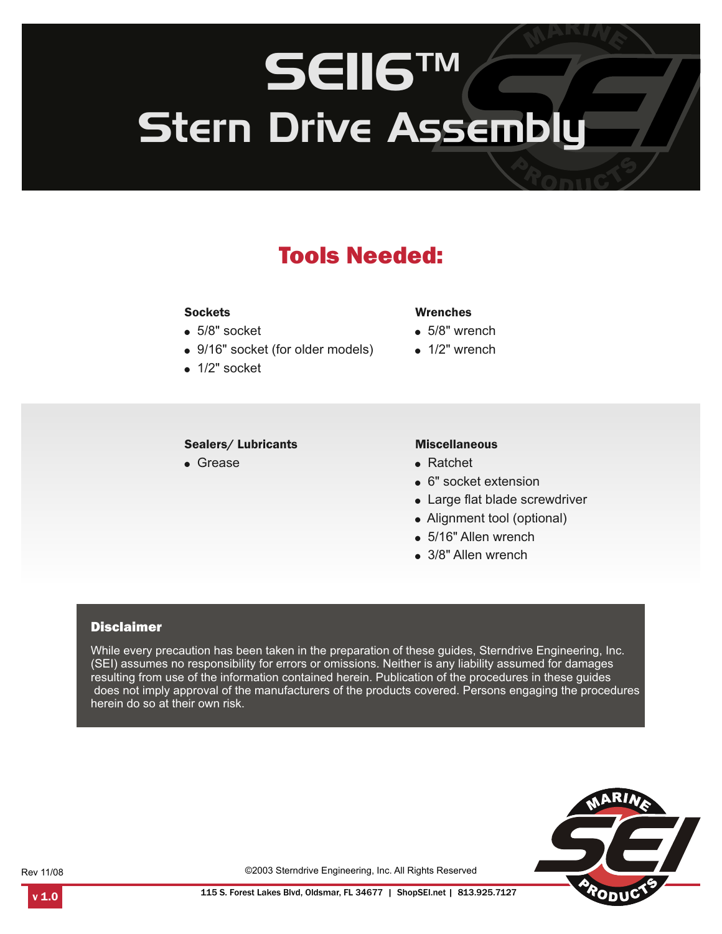# SEII6™ Stern Drive Assembly

## Tools Needed:

#### **Sockets**

- $\bullet$  5/8" socket
- 9/16" socket (for older models)
- $\bullet$  1/2" socket

#### Sealers/ Lubricants

! Grease

#### Wrenches

- $\bullet$  5/8" wrench
- $\bullet$  1/2" wrench

#### Miscellaneous

- ! Ratchet
- 6" socket extension
- Large flat blade screwdriver
- Alignment tool (optional)
- 5/16" Allen wrench
- 3/8" Allen wrench

#### **Disclaimer**

While every precaution has been taken in the preparation of these guides, Sterndrive Engineering, Inc. (SEI) assumes no responsibility for errors or omissions. Neither is any liability assumed for damages resulting from use of the information contained herein. Publication of the procedures in these guides does not imply approval of the manufacturers of the products covered. Persons engaging the procedures herein do so at their own risk.



Rev 11/08

©2003 Sterndrive Engineering, Inc. All Rights Reserved

1.0 115 S. Forest Lakes Blvd, Oldsmar, FL 34677 | ShopSEI.net | 813.925.7127